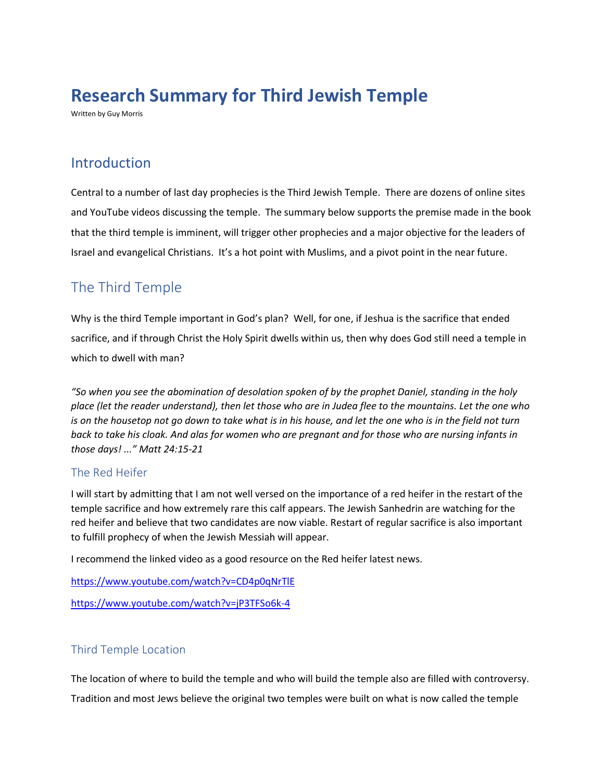# **Research Summary for Third Jewish Temple**

Written by Guy Morris

### Introduction

Central to a number of last day prophecies is the Third Jewish Temple. There are dozens of online sites and YouTube videos discussing the temple. The summary below supports the premise made in the book that the third temple is imminent, will trigger other prophecies and a major objective for the leaders of Israel and evangelical Christians. It's a hot point with Muslims, and a pivot point in the near future.

## The Third Temple

Why is the third Temple important in God's plan? Well, for one, if Jeshua is the sacrifice that ended sacrifice, and if through Christ the Holy Spirit dwells within us, then why does God still need a temple in which to dwell with man?

*"So when you see the abomination of desolation spoken of by the prophet Daniel, standing in the holy place (let the reader understand), then let those who are in Judea flee to the mountains. Let the one who is on the housetop not go down to take what is in his house, and let the one who is in the field not turn back to take his cloak. And alas for women who are pregnant and for those who are nursing infants in those days! ..." Matt 24:15-21*

#### The Red Heifer

I will start by admitting that I am not well versed on the importance of a red heifer in the restart of the temple sacrifice and how extremely rare this calf appears. The Jewish Sanhedrin are watching for the red heifer and believe that two candidates are now viable. Restart of regular sacrifice is also important to fulfill prophecy of when the Jewish Messiah will appear.

I recommend the linked video as a good resource on the Red heifer latest news.

<https://www.youtube.com/watch?v=CD4p0qNrTlE>

<https://www.youtube.com/watch?v=jP3TFSo6k-4>

### Third Temple Location

The location of where to build the temple and who will build the temple also are filled with controversy. Tradition and most Jews believe the original two temples were built on what is now called the temple